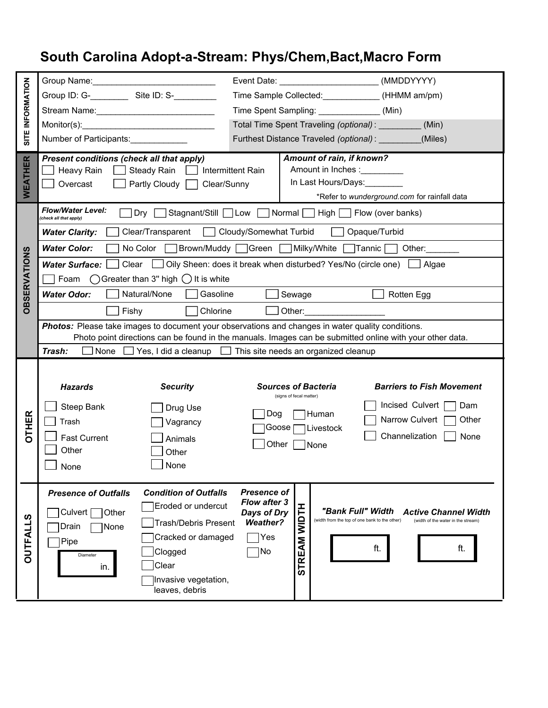## **South Carolina Adopt-a-Stream: Phys/Chem,Bact,Macro Form**

| SITE INFORMATION    |                                                                                                                                                                                                                                                     | (MMDDYYYY)<br>Event Date: <u>_______________________</u>                                                     |                                                                   |  |  |  |  |
|---------------------|-----------------------------------------------------------------------------------------------------------------------------------------------------------------------------------------------------------------------------------------------------|--------------------------------------------------------------------------------------------------------------|-------------------------------------------------------------------|--|--|--|--|
|                     |                                                                                                                                                                                                                                                     | Time Sample Collected: _____________(HHMM am/pm)                                                             |                                                                   |  |  |  |  |
|                     |                                                                                                                                                                                                                                                     | Time Spent Sampling: _________________(Min)                                                                  |                                                                   |  |  |  |  |
|                     | $\text{Monitor(s)}:$                                                                                                                                                                                                                                | Total Time Spent Traveling (optional): ________<br>(Min)                                                     |                                                                   |  |  |  |  |
|                     | Number of Participants:                                                                                                                                                                                                                             | Furthest Distance Traveled (optional): ________<br>(Miles)                                                   |                                                                   |  |  |  |  |
| WEATHER             | Present conditions (check all that apply)<br>Heavy Rain<br>Steady Rain<br>Overcast<br>Partly Cloudy<br>Clear/Sunny                                                                                                                                  | Amount of rain, if known?<br>Amount in Inches :__________<br><b>Intermittent Rain</b><br>In Last Hours/Days: | *Refer to wunderground.com for rainfall data                      |  |  |  |  |
| <b>OBSERVATIONS</b> | <b>Flow/Water Level:</b><br>Stagnant/Still Low Normal High Flow (over banks)<br>Dry<br>(check all that apply)                                                                                                                                       |                                                                                                              |                                                                   |  |  |  |  |
|                     | Cloudy/Somewhat Turbid<br>Opaque/Turbid<br>Clear/Transparent<br><b>Water Clarity:</b>                                                                                                                                                               |                                                                                                              |                                                                   |  |  |  |  |
|                     | <b>Water Color:</b><br>No Color Brown/Muddy Green Milky/White Tannic Other:                                                                                                                                                                         |                                                                                                              |                                                                   |  |  |  |  |
|                     | Clear [<br>Oily Sheen: does it break when disturbed? Yes/No (circle one)<br><b>Water Surface:</b><br>Algae                                                                                                                                          |                                                                                                              |                                                                   |  |  |  |  |
|                     | $\bigcirc$ Greater than 3" high $\bigcirc$ It is white<br>Foam                                                                                                                                                                                      |                                                                                                              |                                                                   |  |  |  |  |
|                     | Natural/None<br>Gasoline<br><b>Water Odor:</b><br>Sewage<br>Rotten Egg                                                                                                                                                                              |                                                                                                              |                                                                   |  |  |  |  |
|                     | Fishy<br>Chlorine<br>Other: and the contract of the contract of the contract of the contract of the contract of the contract of the contract of the contract of the contract of the contract of the contract of the contract of the contract of the |                                                                                                              |                                                                   |  |  |  |  |
|                     | Photos: Please take images to document your observations and changes in water quality conditions.<br>Photo point directions can be found in the manuals. Images can be submitted online with your other data.                                       |                                                                                                              |                                                                   |  |  |  |  |
|                     | None $\Box$ Yes, I did a cleanup $\Box$ This site needs an organized cleanup<br>Trash:                                                                                                                                                              |                                                                                                              |                                                                   |  |  |  |  |
|                     |                                                                                                                                                                                                                                                     |                                                                                                              |                                                                   |  |  |  |  |
|                     | <b>Security</b><br><b>Hazards</b>                                                                                                                                                                                                                   | <b>Sources of Bacteria</b><br><b>Barriers to Fish Movement</b><br>(signs of fecal matter)                    |                                                                   |  |  |  |  |
|                     | Steep Bank<br>Drug Use                                                                                                                                                                                                                              | Incised Culvert                                                                                              | Dam                                                               |  |  |  |  |
| <b>DTHER</b>        | Trash<br>Vagrancy                                                                                                                                                                                                                                   | Dog<br>Human<br>Narrow Culvert                                                                               | Other                                                             |  |  |  |  |
|                     | <b>Fast Current</b><br>Animals                                                                                                                                                                                                                      | Goose<br>Livestock<br>Channelization                                                                         | None                                                              |  |  |  |  |
|                     | Other<br>Other                                                                                                                                                                                                                                      | Other<br>None                                                                                                |                                                                   |  |  |  |  |
|                     | None<br>None                                                                                                                                                                                                                                        |                                                                                                              |                                                                   |  |  |  |  |
|                     |                                                                                                                                                                                                                                                     |                                                                                                              |                                                                   |  |  |  |  |
| <b>OUTFALLS</b>     | <b>Condition of Outfalls</b><br><b>Presence of Outfalls</b>                                                                                                                                                                                         | <b>Presence of</b><br><b>Flow after 3</b>                                                                    |                                                                   |  |  |  |  |
|                     | Eroded or undercut<br>Culvert<br>Other                                                                                                                                                                                                              | <b>HIDLM</b><br>"Bank Full" Width<br>Days of Dry<br>(width from the top of one bank to the other)            | <b>Active Channel Width</b><br>(width of the water in the stream) |  |  |  |  |
|                     | <b>Trash/Debris Present</b><br>Drain<br>None                                                                                                                                                                                                        | <b>Weather?</b><br> Yes                                                                                      |                                                                   |  |  |  |  |
|                     | Cracked or damaged<br>Pipe<br>Clogged                                                                                                                                                                                                               | ft.<br> No                                                                                                   | ft.                                                               |  |  |  |  |
|                     | Diameter<br>Clear<br>in.                                                                                                                                                                                                                            | <b>STREAM</b>                                                                                                |                                                                   |  |  |  |  |
|                     | Invasive vegetation,                                                                                                                                                                                                                                |                                                                                                              |                                                                   |  |  |  |  |
|                     | leaves, debris                                                                                                                                                                                                                                      |                                                                                                              |                                                                   |  |  |  |  |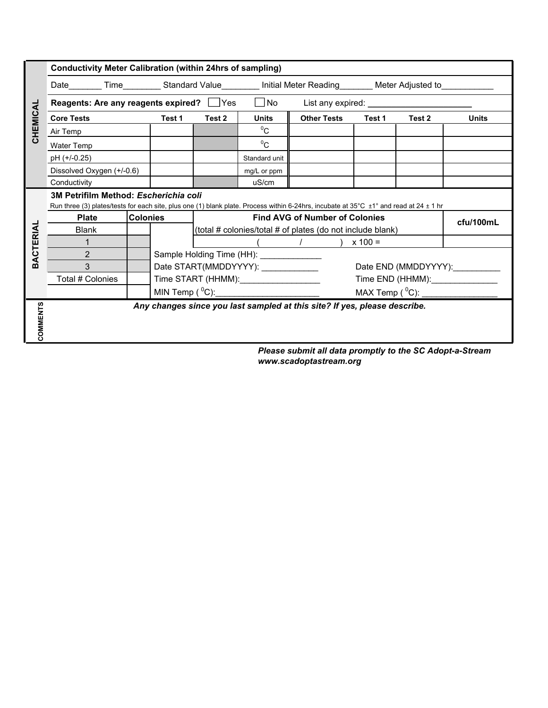|                                                                                                                                                                                          |                                           |                                                            |                                                    |                    | Date_________ Time___________Standard Value___________ Initial Meter Reading_________ Meter Adjusted to_________                                                                                                               |           |                                                                           |
|------------------------------------------------------------------------------------------------------------------------------------------------------------------------------------------|-------------------------------------------|------------------------------------------------------------|----------------------------------------------------|--------------------|--------------------------------------------------------------------------------------------------------------------------------------------------------------------------------------------------------------------------------|-----------|---------------------------------------------------------------------------|
|                                                                                                                                                                                          | Reagents: Are any reagents expired?   Yes |                                                            | l INo                                              |                    |                                                                                                                                                                                                                                |           |                                                                           |
|                                                                                                                                                                                          | Test 1                                    | Test 2                                                     | <b>Units</b>                                       | <b>Other Tests</b> | Test 1                                                                                                                                                                                                                         | Test 2    | <b>Units</b>                                                              |
|                                                                                                                                                                                          |                                           |                                                            | $^{0}C$                                            |                    |                                                                                                                                                                                                                                |           |                                                                           |
|                                                                                                                                                                                          |                                           |                                                            | $^{0}C$                                            |                    |                                                                                                                                                                                                                                |           |                                                                           |
|                                                                                                                                                                                          |                                           |                                                            | Standard unit                                      |                    |                                                                                                                                                                                                                                |           |                                                                           |
| Dissolved Oxygen (+/-0.6)                                                                                                                                                                |                                           |                                                            | mg/L or ppm                                        |                    |                                                                                                                                                                                                                                |           |                                                                           |
|                                                                                                                                                                                          |                                           |                                                            | uS/cm                                              |                    |                                                                                                                                                                                                                                |           |                                                                           |
| 3M Petrifilm Method: Escherichia coli<br>Run three (3) plates/tests for each site, plus one (1) blank plate. Process within 6-24hrs, incubate at 35°C $\pm$ 1° and read at 24 $\pm$ 1 hr |                                           |                                                            |                                                    |                    |                                                                                                                                                                                                                                |           |                                                                           |
| <b>Colonies</b><br><b>Plate</b>                                                                                                                                                          |                                           |                                                            | <b>Find AVG of Number of Colonies</b><br>cfu/100mL |                    |                                                                                                                                                                                                                                |           |                                                                           |
|                                                                                                                                                                                          |                                           | (total # colonies/total # of plates (do not include blank) |                                                    |                    |                                                                                                                                                                                                                                |           |                                                                           |
|                                                                                                                                                                                          |                                           |                                                            |                                                    |                    |                                                                                                                                                                                                                                |           |                                                                           |
|                                                                                                                                                                                          | Sample Holding Time (HH): _____________   |                                                            |                                                    |                    |                                                                                                                                                                                                                                |           |                                                                           |
|                                                                                                                                                                                          | Date START(MMDDYYYY): ____________        |                                                            |                                                    |                    | Date END (MMDDYYYY):                                                                                                                                                                                                           |           |                                                                           |
| Total # Colonies                                                                                                                                                                         |                                           |                                                            |                                                    |                    | Time END (HHMM): View Contract Contract Contract Contract Contract Contract Contract Contract Contract Contract Contract Contract Contract Contract Contract Contract Contract Contract Contract Contract Contract Contract Co |           |                                                                           |
|                                                                                                                                                                                          | MIN Temp $(^0C)$ :                        |                                                            |                                                    |                    | MAX Temp $(^0C)$ :                                                                                                                                                                                                             |           |                                                                           |
|                                                                                                                                                                                          |                                           |                                                            |                                                    |                    |                                                                                                                                                                                                                                |           |                                                                           |
|                                                                                                                                                                                          |                                           |                                                            |                                                    |                    | Time START (HHMM): Time START (HHMM):                                                                                                                                                                                          | $x 100 =$ | Any changes since you last sampled at this site? If yes, please describe. |

*Please submit all data promptly to the SC Adopt-a-Stream www.scadoptastream.org*